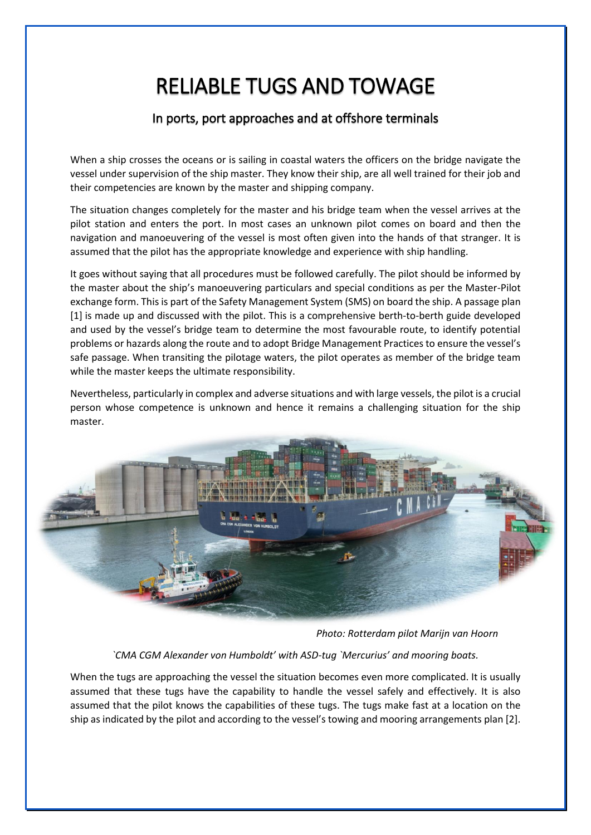# RELIABLE TUGS AND TOWAGE

## In ports, port approaches and at offshore terminals

When a ship crosses the oceans or is sailing in coastal waters the officers on the bridge navigate the vessel under supervision of the ship master. They know their ship, are all well trained for their job and their competencies are known by the master and shipping company.

The situation changes completely for the master and his bridge team when the vessel arrives at the pilot station and enters the port. In most cases an unknown pilot comes on board and then the navigation and manoeuvering of the vessel is most often given into the hands of that stranger. It is assumed that the pilot has the appropriate knowledge and experience with ship handling.

It goes without saying that all procedures must be followed carefully. The pilot should be informed by the master about the ship's manoeuvering particulars and special conditions as per the Master-Pilot exchange form. This is part of the Safety Management System (SMS) on board the ship. A passage plan [1] is made up and discussed with the pilot. This is a comprehensive berth-to-berth guide developed and used by the vessel's bridge team to determine the most favourable route, to identify potential problems or hazards along the route and to adopt Bridge Management Practices to ensure the vessel's safe passage. When transiting the pilotage waters, the pilot operates as member of the bridge team while the master keeps the ultimate responsibility.

Nevertheless, particularly in complex and adverse situations and with large vessels, the pilot is a crucial person whose competence is unknown and hence it remains a challenging situation for the ship master.



*Photo: Rotterdam pilot Marijn van Hoorn*

#### *`CMA CGM Alexander von Humboldt' with ASD-tug `Mercurius' and mooring boats.*

When the tugs are approaching the vessel the situation becomes even more complicated. It is usually assumed that these tugs have the capability to handle the vessel safely and effectively. It is also assumed that the pilot knows the capabilities of these tugs. The tugs make fast at a location on the ship as indicated by the pilot and according to the vessel's towing and mooring arrangements plan [2].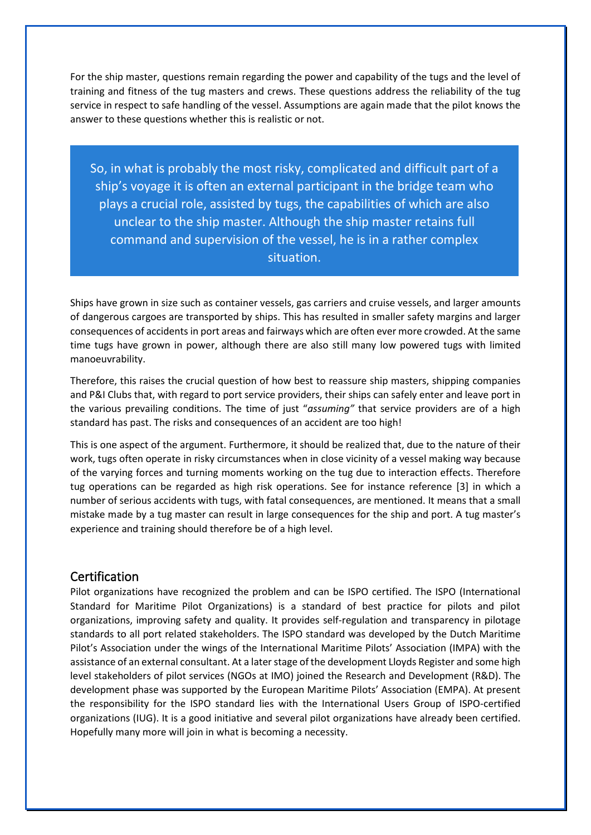For the ship master, questions remain regarding the power and capability of the tugs and the level of training and fitness of the tug masters and crews. These questions address the reliability of the tug service in respect to safe handling of the vessel. Assumptions are again made that the pilot knows the answer to these questions whether this is realistic or not.

So, in what is probably the most risky, complicated and difficult part of a ship's voyage it is often an external participant in the bridge team who plays a crucial role, assisted by tugs, the capabilities of which are also unclear to the ship master. Although the ship master retains full command and supervision of the vessel, he is in a rather complex situation.

Ships have grown in size such as container vessels, gas carriers and cruise vessels, and larger amounts of dangerous cargoes are transported by ships. This has resulted in smaller safety margins and larger consequences of accidents in port areas and fairways which are often ever more crowded. At the same time tugs have grown in power, although there are also still many low powered tugs with limited manoeuvrability.

Therefore, this raises the crucial question of how best to reassure ship masters, shipping companies and P&I Clubs that, with regard to port service providers, their ships can safely enter and leave port in the various prevailing conditions. The time of just "*assuming"* that service providers are of a high standard has past. The risks and consequences of an accident are too high!

This is one aspect of the argument. Furthermore, it should be realized that, due to the nature of their work, tugs often operate in risky circumstances when in close vicinity of a vessel making way because of the varying forces and turning moments working on the tug due to interaction effects. Therefore tug operations can be regarded as high risk operations. See for instance reference [3] in which a number of serious accidents with tugs, with fatal consequences, are mentioned. It means that a small mistake made by a tug master can result in large consequences for the ship and port. A tug master's experience and training should therefore be of a high level.

#### **Certification**

Pilot organizations have recognized the problem and can be ISPO certified. The ISPO (International Standard for Maritime Pilot Organizations) is a standard of best practice for pilots and pilot organizations, improving safety and quality. It provides self-regulation and transparency in pilotage standards to all port related stakeholders. The ISPO standard was developed by the [Dutch Maritime](https://www.loodswezen.nl/en.aspx)  [Pilot's Association](https://www.loodswezen.nl/en.aspx) under the wings of the International Maritime Pilots' Association (IMPA) with the assistance of an external consultant. At a later stage of the development Lloyds Register and some high level stakeholders of pilot services (NGOs at IMO) joined the Research and Development (R&D). The development phase was supported by the European Maritime Pilots' Association (EMPA). At present the responsibility for the ISPO standard lies with the International Users Group of ISPO-certified organizations (IUG). It is a good initiative and several pilot organizations have already been certified. Hopefully many more will join in what is becoming a necessity.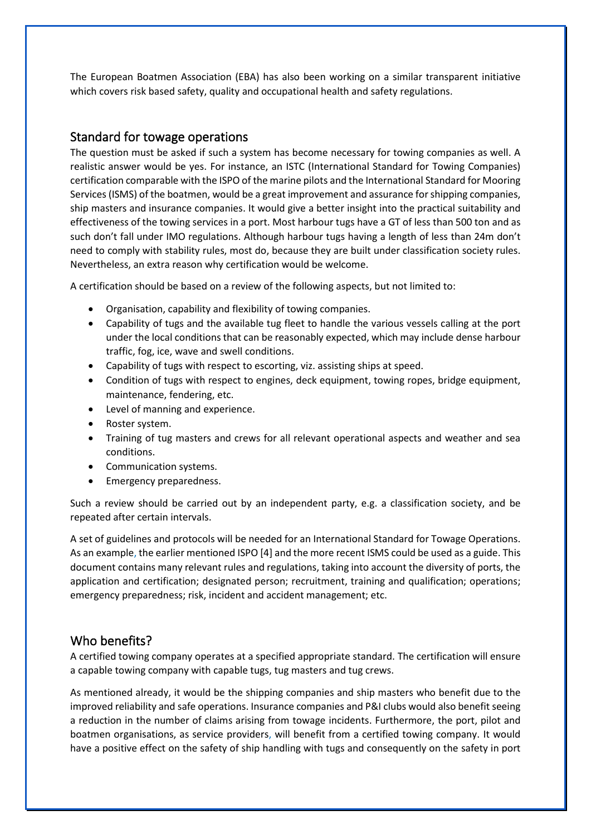The European Boatmen Association (EBA) has also been working on a similar transparent initiative which covers risk based safety, quality and occupational health and safety regulations.

#### Standard for towage operations

The question must be asked if such a system has become necessary for towing companies as well. A realistic answer would be yes. For instance, an ISTC (International Standard for Towing Companies) certification comparable with the ISPO of the marine pilots and the International Standard for Mooring Services (ISMS) of the boatmen, would be a great improvement and assurance for shipping companies, ship masters and insurance companies. It would give a better insight into the practical suitability and effectiveness of the towing services in a port. Most harbour tugs have a GT of less than 500 ton and as such don't fall under IMO regulations. Although harbour tugs having a length of less than 24m don't need to comply with stability rules, most do, because they are built under classification society rules. Nevertheless, an extra reason why certification would be welcome.

A certification should be based on a review of the following aspects, but not limited to:

- Organisation, capability and flexibility of towing companies.
- Capability of tugs and the available tug fleet to handle the various vessels calling at the port under the local conditions that can be reasonably expected, which may include dense harbour traffic, fog, ice, wave and swell conditions.
- Capability of tugs with respect to escorting, viz. assisting ships at speed.
- Condition of tugs with respect to engines, deck equipment, towing ropes, bridge equipment, maintenance, fendering, etc.
- Level of manning and experience.
- Roster system.
- Training of tug masters and crews for all relevant operational aspects and weather and sea conditions.
- Communication systems.
- Emergency preparedness.

Such a review should be carried out by an independent party, e.g. a classification society, and be repeated after certain intervals.

A set of guidelines and protocols will be needed for an International Standard for Towage Operations. As an example, the earlier mentioned ISPO [4] and the more recent ISMS could be used as a guide. This document contains many relevant rules and regulations, taking into account the diversity of ports, the application and certification; designated person; recruitment, training and qualification; operations; emergency preparedness; risk, incident and accident management; etc.

## Who benefits?

A certified towing company operates at a specified appropriate standard. The certification will ensure a capable towing company with capable tugs, tug masters and tug crews.

As mentioned already, it would be the shipping companies and ship masters who benefit due to the improved reliability and safe operations. Insurance companies and P&I clubs would also benefit seeing a reduction in the number of claims arising from towage incidents. Furthermore, the port, pilot and boatmen organisations, as service providers, will benefit from a certified towing company. It would have a positive effect on the safety of ship handling with tugs and consequently on the safety in port